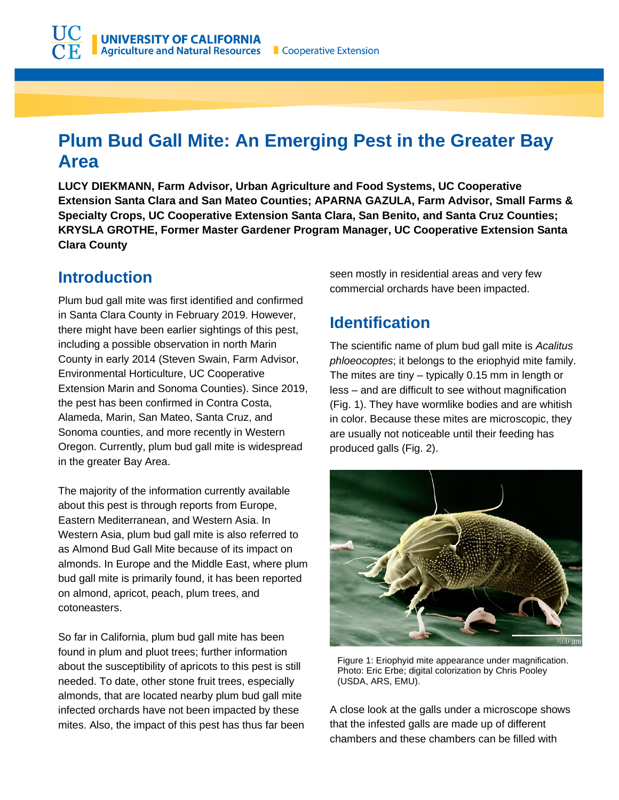# **Plum Bud Gall Mite: An Emerging Pest in the Greater Bay Area**

**LUCY DIEKMANN, Farm Advisor, Urban Agriculture and Food Systems, UC Cooperative Extension Santa Clara and San Mateo Counties; APARNA GAZULA, Farm Advisor, Small Farms & Specialty Crops, UC Cooperative Extension Santa Clara, San Benito, and Santa Cruz Counties; KRYSLA GROTHE, Former Master Gardener Program Manager, UC Cooperative Extension Santa Clara County**

### **Introduction**

Plum bud gall mite was first identified and confirmed in Santa Clara County in February 2019. However, there might have been earlier sightings of this pest, including a possible observation in north Marin County in early 2014 (Steven Swain, Farm Advisor, Environmental Horticulture, UC Cooperative Extension Marin and Sonoma Counties). Since 2019, the pest has been confirmed in Contra Costa, Alameda, Marin, San Mateo, Santa Cruz, and Sonoma counties, and more recently in Western Oregon. Currently, plum bud gall mite is widespread in the greater Bay Area.

The majority of the information currently available about this pest is through reports from Europe, Eastern Mediterranean, and Western Asia. In Western Asia, plum bud gall mite is also referred to as Almond Bud Gall Mite because of its impact on almonds. In Europe and the Middle East, where plum bud gall mite is primarily found, it has been reported on almond, apricot, peach, plum trees, and cotoneasters.

So far in California, plum bud gall mite has been found in plum and pluot trees; further information about the susceptibility of apricots to this pest is still needed. To date, other stone fruit trees, especially almonds, that are located nearby plum bud gall mite infected orchards have not been impacted by these mites. Also, the impact of this pest has thus far been seen mostly in residential areas and very few commercial orchards have been impacted.

# **Identification**

The scientific name of plum bud gall mite is *Acalitus phloeocoptes*; it belongs to the eriophyid mite family. The mites are tiny – typically 0.15 mm in length or less – and are difficult to see without magnification (Fig. 1). They have wormlike bodies and are whitish in color. Because these mites are microscopic, they are usually not noticeable until their feeding has produced galls (Fig. 2).



Figure 1: Eriophyid mite appearance under magnification. Photo: Eric Erbe; digital colorization by Chris Pooley (USDA, ARS, EMU).

A close look at the galls under a microscope shows that the infested galls are made up of different chambers and these chambers can be filled with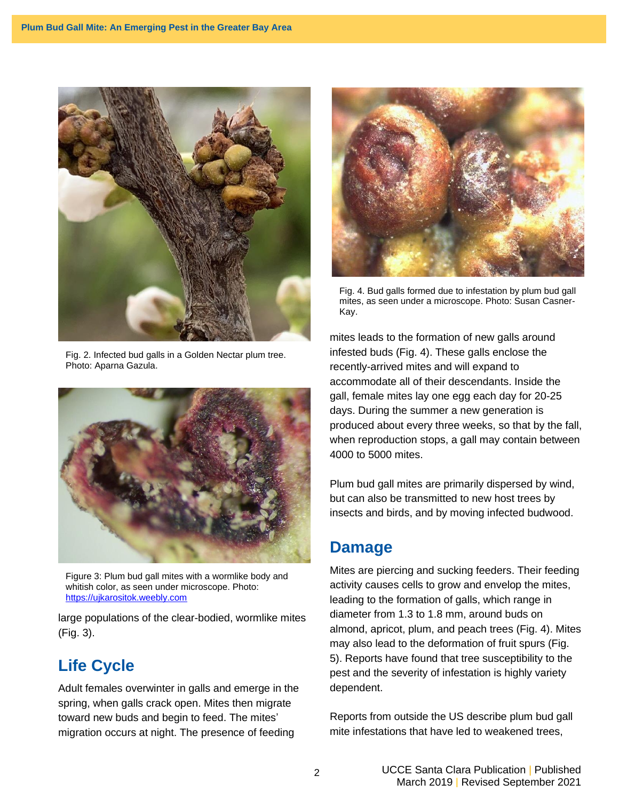

Fig. 2. Infected bud galls in a Golden Nectar plum tree. Photo: Aparna Gazula.



Figure 3: Plum bud gall mites with a wormlike body and whitish color, as seen under microscope. Photo: [https://ujkarositok.weebly.com](https://ujkarositok.weebly.com/acalitus-phloeocoptes-szilvakeacutereg-gubacsatka.html)

large populations of the clear-bodied, wormlike mites (Fig. 3).

# **Life Cycle**

Adult females overwinter in galls and emerge in the spring, when galls crack open. Mites then migrate toward new buds and begin to feed. The mites' migration occurs at night. The presence of feeding



Fig. 4. Bud galls formed due to infestation by plum bud gall mites, as seen under a microscope. Photo: Susan Casner-Kay.

mites leads to the formation of new galls around infested buds (Fig. 4). These galls enclose the recently-arrived mites and will expand to accommodate all of their descendants. Inside the gall, female mites lay one egg each day for 20-25 days. During the summer a new generation is produced about every three weeks, so that by the fall, when reproduction stops, a gall may contain between 4000 to 5000 mites.

Plum bud gall mites are primarily dispersed by wind, but can also be transmitted to new host trees by insects and birds, and by moving infected budwood.

#### **Damage**

Mites are piercing and sucking feeders. Their feeding activity causes cells to grow and envelop the mites, leading to the formation of galls, which range in diameter from 1.3 to 1.8 mm, around buds on almond, apricot, plum, and peach trees (Fig. 4). Mites may also lead to the deformation of fruit spurs (Fig. 5). Reports have found that tree susceptibility to the pest and the severity of infestation is highly variety dependent.

Reports from outside the US describe plum bud gall mite infestations that have led to weakened trees,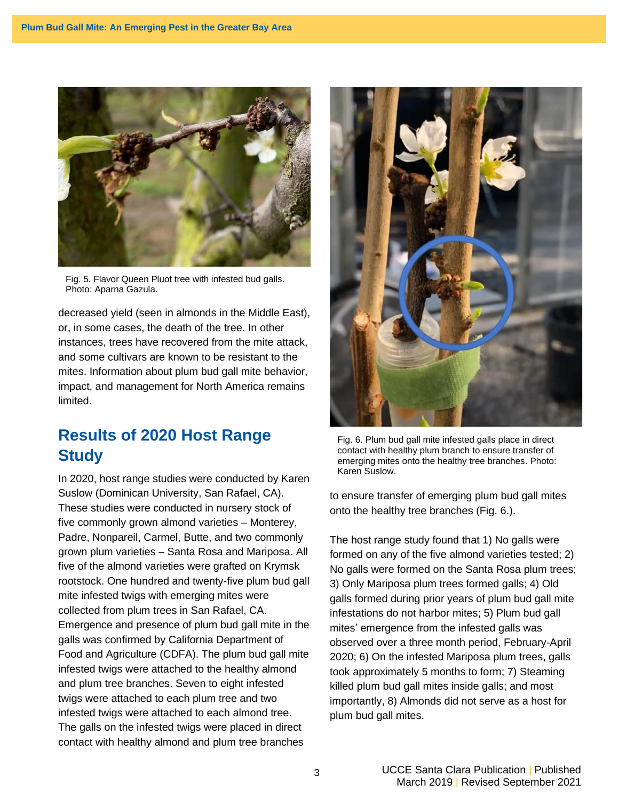

Fig. 5. Flavor Queen Pluot tree with infested bud galls. Photo: Aparna Gazula.

decreased yield (seen in almonds in the Middle East), or, in some cases, the death of the tree. In other instances, trees have recovered from the mite attack, and some cultivars are known to be resistant to the mites. Information about plum bud gall mite behavior, impact, and management for North America remains limited.

### **Results of 2020 Host Range Study**

In 2020, host range studies were conducted by Karen Suslow (Dominican University, San Rafael, CA). These studies were conducted in nursery stock of five commonly grown almond varieties – Monterey, Padre, Nonpareil, Carmel, Butte, and two commonly grown plum varieties – Santa Rosa and Mariposa. All five of the almond varieties were grafted on Krymsk rootstock. One hundred and twenty-five plum bud gall mite infested twigs with emerging mites were collected from plum trees in San Rafael, CA. Emergence and presence of plum bud gall mite in the galls was confirmed by California Department of Food and Agriculture (CDFA). The plum bud gall mite infested twigs were attached to the healthy almond and plum tree branches. Seven to eight infested twigs were attached to each plum tree and two infested twigs were attached to each almond tree. The galls on the infested twigs were placed in direct contact with healthy almond and plum tree branches



Fig. 6. Plum bud gall mite infested galls place in direct contact with healthy plum branch to ensure transfer of emerging mites onto the healthy tree branches. Photo: Karen Suslow.

to ensure transfer of emerging plum bud gall mites onto the healthy tree branches (Fig. 6.).

The host range study found that 1) No galls were formed on any of the five almond varieties tested; 2) No galls were formed on the Santa Rosa plum trees; 3) Only Mariposa plum trees formed galls; 4) Old galls formed during prior years of plum bud gall mite infestations do not harbor mites; 5) Plum bud gall mites' emergence from the infested galls was observed over a three month period, February-April 2020; 6) On the infested Mariposa plum trees, galls took approximately 5 months to form; 7) Steaming killed plum bud gall mites inside galls; and most importantly, 8) Almonds did not serve as a host for plum bud gall mites.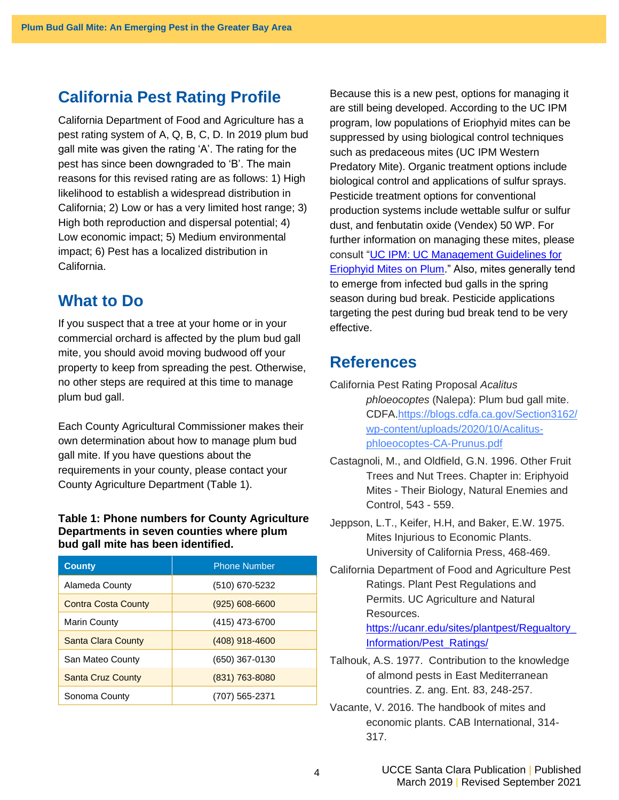## **California Pest Rating Profile**

California Department of Food and Agriculture has a pest rating system of A, Q, B, C, D. In 2019 plum bud gall mite was given the rating 'A'. The rating for the pest has since been downgraded to 'B'. The main reasons for this revised rating are as follows: 1) High likelihood to establish a widespread distribution in California; 2) Low or has a very limited host range; 3) High both reproduction and dispersal potential; 4) Low economic impact; 5) Medium environmental impact; 6) Pest has a localized distribution in California.

#### **What to Do**

If you suspect that a tree at your home or in your commercial orchard is affected by the plum bud gall mite, you should avoid moving budwood off your property to keep from spreading the pest. Otherwise, no other steps are required at this time to manage plum bud gall.

Each County Agricultural Commissioner makes their own determination about how to manage plum bud gall mite. If you have questions about the requirements in your county, please contact your County Agriculture Department (Table 1).

#### **Table 1: Phone numbers for County Agriculture Departments in seven counties where plum bud gall mite has been identified.**

| <b>County</b>              | <b>Phone Number</b> |
|----------------------------|---------------------|
| Alameda County             | (510) 670-5232      |
| <b>Contra Costa County</b> | $(925) 608 - 6600$  |
| <b>Marin County</b>        | (415) 473-6700      |
| Santa Clara County         | $(408)$ 918-4600    |
| San Mateo County           | (650) 367-0130      |
| <b>Santa Cruz County</b>   | (831) 763-8080      |
| Sonoma County              | (707) 565-2371      |

Because this is a new pest, options for managing it are still being developed. According to the UC IPM program, low populations of Eriophyid mites can be suppressed by using biological control techniques such as predaceous mites (UC IPM Western Predatory Mite). Organic treatment options include biological control and applications of sulfur sprays. Pesticide treatment options for conventional production systems include wettable sulfur or sulfur dust, and fenbutatin oxide (Vendex) 50 WP. For further information on managing these mites, please consult "UC IPM: [UC Management Guidelines for](http://ipm.ucanr.edu/PMG/r611400511.html)  [Eriophyid Mites on Plum.](http://ipm.ucanr.edu/PMG/r611400511.html)" Also, mites generally tend to emerge from infected bud galls in the spring season during bud break. Pesticide applications targeting the pest during bud break tend to be very effective.

#### **References**

- California Pest Rating Proposal *Acalitus phloeocoptes* (Nalepa): Plum bud gall mite. CDFA[.https://blogs.cdfa.ca.gov/Section3162/](https://blogs.cdfa.ca.gov/Section3162/wp-content/uploads/2020/10/Acalitus-phloeocoptes-CA-Prunus.pdf) [wp-content/uploads/2020/10/Acalitus](https://blogs.cdfa.ca.gov/Section3162/wp-content/uploads/2020/10/Acalitus-phloeocoptes-CA-Prunus.pdf)[phloeocoptes-CA-Prunus.pdf](https://blogs.cdfa.ca.gov/Section3162/wp-content/uploads/2020/10/Acalitus-phloeocoptes-CA-Prunus.pdf)
- Castagnoli, M., and Oldfield, G.N. 1996. Other Fruit Trees and Nut Trees. Chapter in: Eriphyoid Mites - Their Biology, Natural Enemies and Control, 543 - 559.
- Jeppson, L.T., Keifer, H.H, and Baker, E.W. 1975. Mites Injurious to Economic Plants. University of California Press, 468-469.
- California Department of Food and Agriculture Pest Ratings. Plant Pest Regulations and Permits. UC Agriculture and Natural Resources.

[https://ucanr.edu/sites/plantpest/Regualtory\\_](https://ucanr.edu/sites/plantpest/Regualtory_Information/Pest_Ratings/) [Information/Pest\\_Ratings/](https://ucanr.edu/sites/plantpest/Regualtory_Information/Pest_Ratings/)

- Talhouk, A.S. 1977. Contribution to the knowledge of almond pests in East Mediterranean countries. Z. ang. Ent. 83, 248-257.
- Vacante, V. 2016. The handbook of mites and economic plants. CAB International, 314- 317.